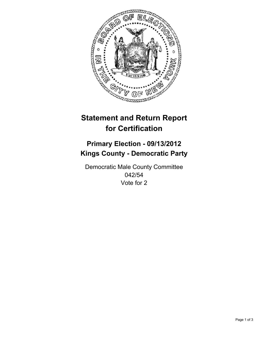

# **Statement and Return Report for Certification**

## **Primary Election - 09/13/2012 Kings County - Democratic Party**

Democratic Male County Committee 042/54 Vote for 2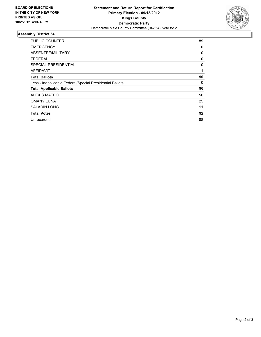

### **Assembly District 54**

| <b>PUBLIC COUNTER</b>                                    | 89 |
|----------------------------------------------------------|----|
| <b>EMERGENCY</b>                                         | 0  |
| ABSENTEE/MILITARY                                        | 0  |
| FEDERAL                                                  | 0  |
| SPECIAL PRESIDENTIAL                                     | 0  |
| <b>AFFIDAVIT</b>                                         | 1  |
| <b>Total Ballots</b>                                     | 90 |
| Less - Inapplicable Federal/Special Presidential Ballots | 0  |
| <b>Total Applicable Ballots</b>                          | 90 |
| <b>ALEXIS MATEO</b>                                      | 56 |
| <b>OMANY LUNA</b>                                        | 25 |
| <b>SALADIN LONG</b>                                      | 11 |
| <b>Total Votes</b>                                       | 92 |
| Unrecorded                                               | 88 |